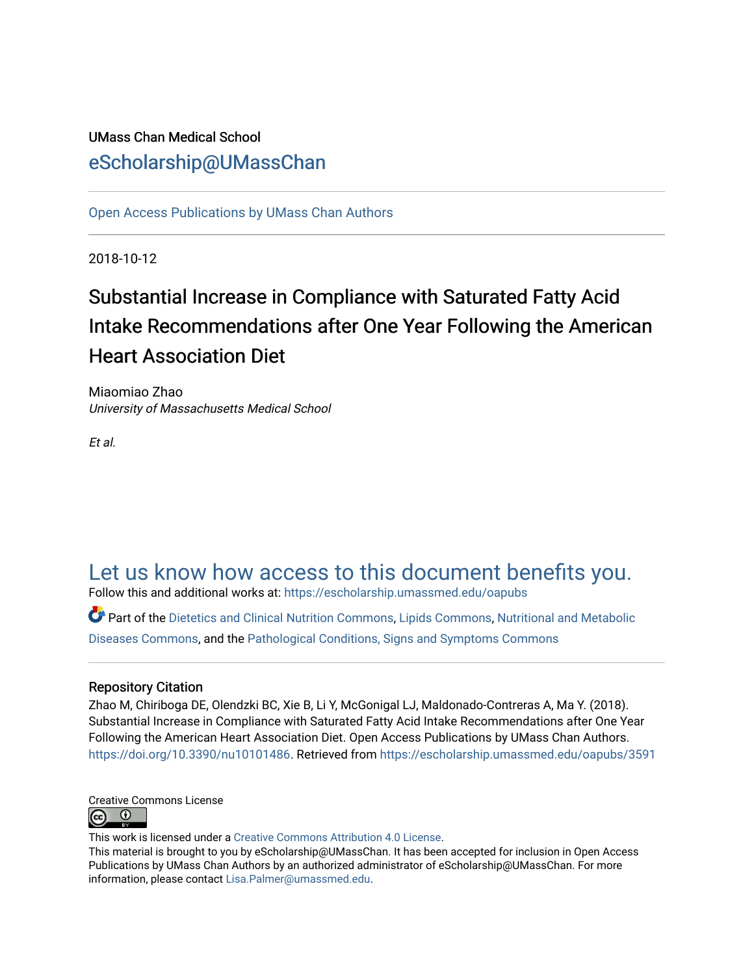## UMass Chan Medical School [eScholarship@UMassChan](https://escholarship.umassmed.edu/)

[Open Access Publications by UMass Chan Authors](https://escholarship.umassmed.edu/oapubs) 

2018-10-12

# Substantial Increase in Compliance with Saturated Fatty Acid Intake Recommendations after One Year Following the American Heart Association Diet

Miaomiao Zhao University of Massachusetts Medical School

Et al.

## [Let us know how access to this document benefits you.](https://arcsapps.umassmed.edu/redcap/surveys/?s=XWRHNF9EJE)

Follow this and additional works at: [https://escholarship.umassmed.edu/oapubs](https://escholarship.umassmed.edu/oapubs?utm_source=escholarship.umassmed.edu%2Foapubs%2F3591&utm_medium=PDF&utm_campaign=PDFCoverPages) 

Part of the [Dietetics and Clinical Nutrition Commons,](http://network.bepress.com/hgg/discipline/662?utm_source=escholarship.umassmed.edu%2Foapubs%2F3591&utm_medium=PDF&utm_campaign=PDFCoverPages) [Lipids Commons](http://network.bepress.com/hgg/discipline/920?utm_source=escholarship.umassmed.edu%2Foapubs%2F3591&utm_medium=PDF&utm_campaign=PDFCoverPages), [Nutritional and Metabolic](http://network.bepress.com/hgg/discipline/1003?utm_source=escholarship.umassmed.edu%2Foapubs%2F3591&utm_medium=PDF&utm_campaign=PDFCoverPages) [Diseases Commons](http://network.bepress.com/hgg/discipline/1003?utm_source=escholarship.umassmed.edu%2Foapubs%2F3591&utm_medium=PDF&utm_campaign=PDFCoverPages), and the [Pathological Conditions, Signs and Symptoms Commons](http://network.bepress.com/hgg/discipline/1004?utm_source=escholarship.umassmed.edu%2Foapubs%2F3591&utm_medium=PDF&utm_campaign=PDFCoverPages) 

### Repository Citation

Zhao M, Chiriboga DE, Olendzki BC, Xie B, Li Y, McGonigal LJ, Maldonado-Contreras A, Ma Y. (2018). Substantial Increase in Compliance with Saturated Fatty Acid Intake Recommendations after One Year Following the American Heart Association Diet. Open Access Publications by UMass Chan Authors. [https://doi.org/10.3390/nu10101486.](https://doi.org/10.3390/nu10101486) Retrieved from [https://escholarship.umassmed.edu/oapubs/3591](https://escholarship.umassmed.edu/oapubs/3591?utm_source=escholarship.umassmed.edu%2Foapubs%2F3591&utm_medium=PDF&utm_campaign=PDFCoverPages) 



This work is licensed under a [Creative Commons Attribution 4.0 License](http://creativecommons.org/licenses/by/4.0/).

This material is brought to you by eScholarship@UMassChan. It has been accepted for inclusion in Open Access Publications by UMass Chan Authors by an authorized administrator of eScholarship@UMassChan. For more information, please contact [Lisa.Palmer@umassmed.edu.](mailto:Lisa.Palmer@umassmed.edu)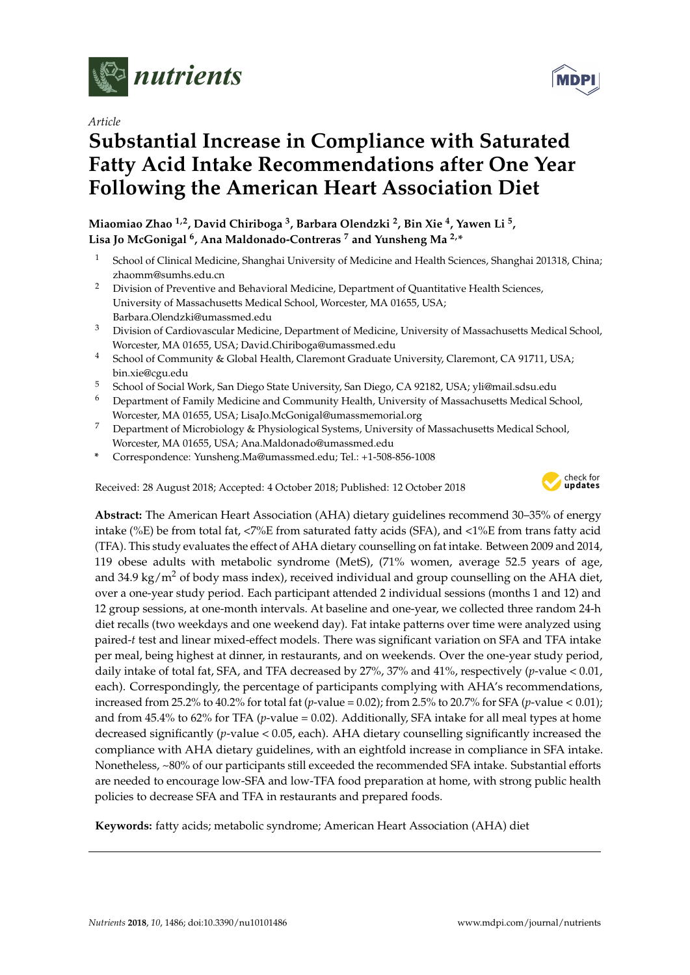

*Article*

# **Substantial Increase in Compliance with Saturated Fatty Acid Intake Recommendations after One Year Following the American Heart Association Diet**

### **Miaomiao Zhao 1,2, David Chiriboga <sup>3</sup> , Barbara Olendzki <sup>2</sup> , Bin Xie <sup>4</sup> , Yawen Li <sup>5</sup> , Lisa Jo McGonigal <sup>6</sup> , Ana Maldonado-Contreras <sup>7</sup> and Yunsheng Ma 2,\***

- <sup>1</sup> School of Clinical Medicine, Shanghai University of Medicine and Health Sciences, Shanghai 201318, China; zhaomm@sumhs.edu.cn
- <sup>2</sup> Division of Preventive and Behavioral Medicine, Department of Quantitative Health Sciences, University of Massachusetts Medical School, Worcester, MA 01655, USA; Barbara.Olendzki@umassmed.edu
- <sup>3</sup> Division of Cardiovascular Medicine, Department of Medicine, University of Massachusetts Medical School, Worcester, MA 01655, USA; David.Chiriboga@umassmed.edu
- <sup>4</sup> School of Community & Global Health, Claremont Graduate University, Claremont, CA 91711, USA; bin.xie@cgu.edu
- <sup>5</sup> School of Social Work, San Diego State University, San Diego, CA 92182, USA; yli@mail.sdsu.edu
- <sup>6</sup> Department of Family Medicine and Community Health, University of Massachusetts Medical School, Worcester, MA 01655, USA; LisaJo.McGonigal@umassmemorial.org
- <sup>7</sup> Department of Microbiology & Physiological Systems, University of Massachusetts Medical School, Worcester, MA 01655, USA; Ana.Maldonado@umassmed.edu
- **\*** Correspondence: Yunsheng.Ma@umassmed.edu; Tel.: +1-508-856-1008

Received: 28 August 2018; Accepted: 4 October 2018; Published: 12 October 2018



**Abstract:** The American Heart Association (AHA) dietary guidelines recommend 30–35% of energy intake (%E) be from total fat, <7%E from saturated fatty acids (SFA), and <1%E from trans fatty acid (TFA). This study evaluates the effect of AHA dietary counselling on fat intake. Between 2009 and 2014, 119 obese adults with metabolic syndrome (MetS), (71% women, average 52.5 years of age, and 34.9 kg/ $m^2$  of body mass index), received individual and group counselling on the AHA diet, over a one-year study period. Each participant attended 2 individual sessions (months 1 and 12) and 12 group sessions, at one-month intervals. At baseline and one-year, we collected three random 24-h diet recalls (two weekdays and one weekend day). Fat intake patterns over time were analyzed using paired-*t* test and linear mixed-effect models. There was significant variation on SFA and TFA intake per meal, being highest at dinner, in restaurants, and on weekends. Over the one-year study period, daily intake of total fat, SFA, and TFA decreased by 27%, 37% and 41%, respectively (*p*-value < 0.01, each). Correspondingly, the percentage of participants complying with AHA's recommendations, increased from 25.2% to 40.2% for total fat (*p*-value = 0.02); from 2.5% to 20.7% for SFA (*p*-value < 0.01); and from 45.4% to 62% for TFA (*p*-value = 0.02). Additionally, SFA intake for all meal types at home decreased significantly (*p*-value < 0.05, each). AHA dietary counselling significantly increased the compliance with AHA dietary guidelines, with an eightfold increase in compliance in SFA intake. Nonetheless, ~80% of our participants still exceeded the recommended SFA intake. Substantial efforts are needed to encourage low-SFA and low-TFA food preparation at home, with strong public health policies to decrease SFA and TFA in restaurants and prepared foods.

**Keywords:** fatty acids; metabolic syndrome; American Heart Association (AHA) diet

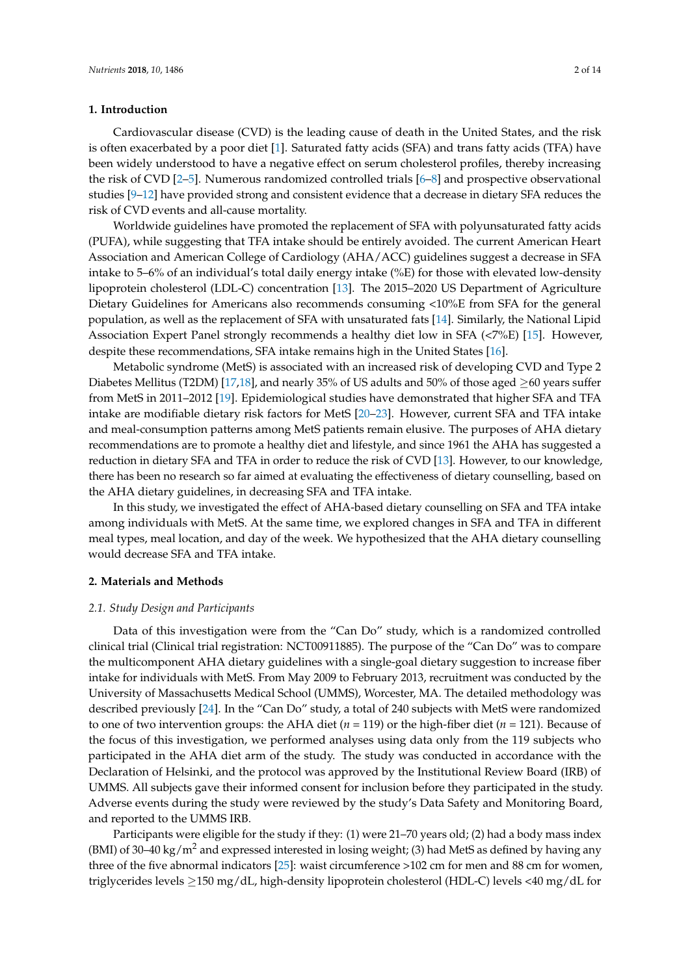#### **1. Introduction**

Cardiovascular disease (CVD) is the leading cause of death in the United States, and the risk is often exacerbated by a poor diet [\[1\]](#page-11-0). Saturated fatty acids (SFA) and trans fatty acids (TFA) have been widely understood to have a negative effect on serum cholesterol profiles, thereby increasing the risk of CVD [\[2–](#page-11-1)[5\]](#page-11-2). Numerous randomized controlled trials [\[6](#page-12-0)[–8\]](#page-12-1) and prospective observational studies [\[9–](#page-12-2)[12\]](#page-12-3) have provided strong and consistent evidence that a decrease in dietary SFA reduces the risk of CVD events and all-cause mortality.

Worldwide guidelines have promoted the replacement of SFA with polyunsaturated fatty acids (PUFA), while suggesting that TFA intake should be entirely avoided. The current American Heart Association and American College of Cardiology (AHA/ACC) guidelines suggest a decrease in SFA intake to 5–6% of an individual's total daily energy intake (%E) for those with elevated low-density lipoprotein cholesterol (LDL-C) concentration [\[13\]](#page-12-4). The 2015–2020 US Department of Agriculture Dietary Guidelines for Americans also recommends consuming <10%E from SFA for the general population, as well as the replacement of SFA with unsaturated fats [\[14\]](#page-12-5). Similarly, the National Lipid Association Expert Panel strongly recommends a healthy diet low in SFA (<7%E) [\[15\]](#page-12-6). However, despite these recommendations, SFA intake remains high in the United States [\[16\]](#page-12-7).

Metabolic syndrome (MetS) is associated with an increased risk of developing CVD and Type 2 Diabetes Mellitus (T2DM) [\[17,](#page-12-8)[18\]](#page-12-9), and nearly 35% of US adults and 50% of those aged  $\geq$ 60 years suffer from MetS in 2011–2012 [\[19\]](#page-12-10). Epidemiological studies have demonstrated that higher SFA and TFA intake are modifiable dietary risk factors for MetS [\[20](#page-12-11)[–23\]](#page-13-0). However, current SFA and TFA intake and meal-consumption patterns among MetS patients remain elusive. The purposes of AHA dietary recommendations are to promote a healthy diet and lifestyle, and since 1961 the AHA has suggested a reduction in dietary SFA and TFA in order to reduce the risk of CVD [\[13\]](#page-12-4). However, to our knowledge, there has been no research so far aimed at evaluating the effectiveness of dietary counselling, based on the AHA dietary guidelines, in decreasing SFA and TFA intake.

In this study, we investigated the effect of AHA-based dietary counselling on SFA and TFA intake among individuals with MetS. At the same time, we explored changes in SFA and TFA in different meal types, meal location, and day of the week. We hypothesized that the AHA dietary counselling would decrease SFA and TFA intake.

#### **2. Materials and Methods**

#### *2.1. Study Design and Participants*

Data of this investigation were from the "Can Do" study, which is a randomized controlled clinical trial (Clinical trial registration: NCT00911885). The purpose of the "Can Do" was to compare the multicomponent AHA dietary guidelines with a single-goal dietary suggestion to increase fiber intake for individuals with MetS. From May 2009 to February 2013, recruitment was conducted by the University of Massachusetts Medical School (UMMS), Worcester, MA. The detailed methodology was described previously [\[24\]](#page-13-1). In the "Can Do" study, a total of 240 subjects with MetS were randomized to one of two intervention groups: the AHA diet (*n* = 119) or the high-fiber diet (*n* = 121). Because of the focus of this investigation, we performed analyses using data only from the 119 subjects who participated in the AHA diet arm of the study. The study was conducted in accordance with the Declaration of Helsinki, and the protocol was approved by the Institutional Review Board (IRB) of UMMS. All subjects gave their informed consent for inclusion before they participated in the study. Adverse events during the study were reviewed by the study's Data Safety and Monitoring Board, and reported to the UMMS IRB.

Participants were eligible for the study if they: (1) were 21–70 years old; (2) had a body mass index (BMI) of 30–40 kg/m<sup>2</sup> and expressed interested in losing weight; (3) had MetS as defined by having any three of the five abnormal indicators [\[25\]](#page-13-2): waist circumference >102 cm for men and 88 cm for women, triglycerides levels ≥150 mg/dL, high-density lipoprotein cholesterol (HDL-C) levels <40 mg/dL for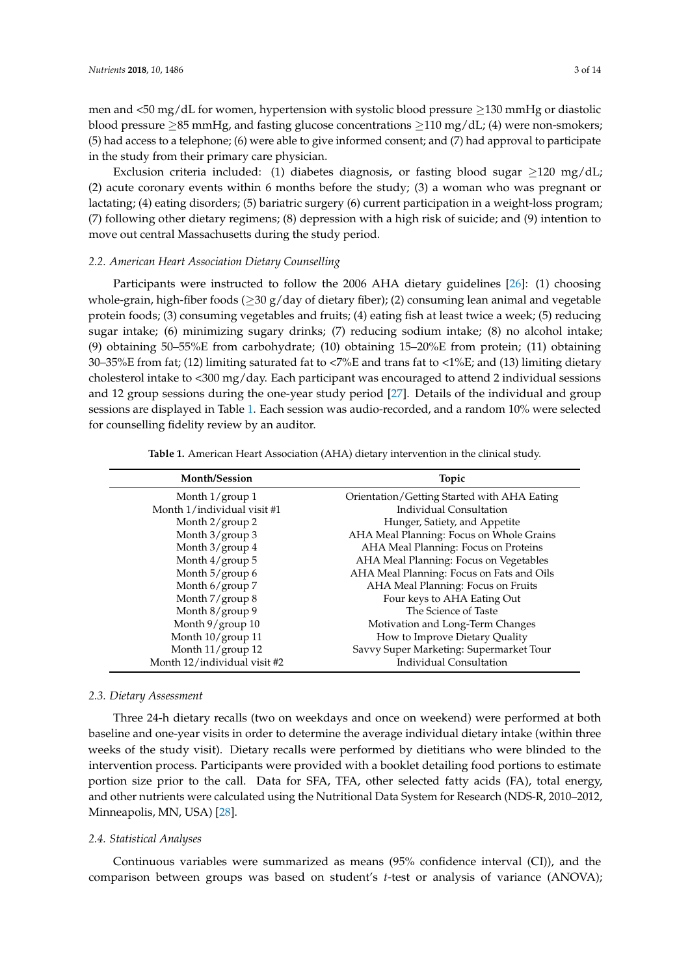men and <50 mg/dL for women, hypertension with systolic blood pressure ≥130 mmHg or diastolic blood pressure  $\geq$ 85 mmHg, and fasting glucose concentrations  $\geq$ 110 mg/dL; (4) were non-smokers; (5) had access to a telephone; (6) were able to give informed consent; and (7) had approval to participate in the study from their primary care physician.

Exclusion criteria included: (1) diabetes diagnosis, or fasting blood sugar  $\geq$ 120 mg/dL; (2) acute coronary events within 6 months before the study; (3) a woman who was pregnant or lactating; (4) eating disorders; (5) bariatric surgery (6) current participation in a weight-loss program; (7) following other dietary regimens; (8) depression with a high risk of suicide; and (9) intention to move out central Massachusetts during the study period.

#### *2.2. American Heart Association Dietary Counselling*

Participants were instructed to follow the 2006 AHA dietary guidelines [\[26\]](#page-13-3): (1) choosing whole-grain, high-fiber foods ( $\geq$ 30 g/day of dietary fiber); (2) consuming lean animal and vegetable protein foods; (3) consuming vegetables and fruits; (4) eating fish at least twice a week; (5) reducing sugar intake; (6) minimizing sugary drinks; (7) reducing sodium intake; (8) no alcohol intake; (9) obtaining 50–55%E from carbohydrate; (10) obtaining 15–20%E from protein; (11) obtaining 30–35%E from fat; (12) limiting saturated fat to <7%E and trans fat to <1%E; and (13) limiting dietary cholesterol intake to <300 mg/day. Each participant was encouraged to attend 2 individual sessions and 12 group sessions during the one-year study period [\[27\]](#page-13-4). Details of the individual and group sessions are displayed in Table [1.](#page-3-0) Each session was audio-recorded, and a random 10% were selected for counselling fidelity review by an auditor.

| Table 1. American Heart Association (AHA) dietary intervention in the clinical study. |
|---------------------------------------------------------------------------------------|
|---------------------------------------------------------------------------------------|

<span id="page-3-0"></span>

| <b>Month/Session</b>         | Topic                                       |
|------------------------------|---------------------------------------------|
| Month $1/\text{group }1$     | Orientation/Getting Started with AHA Eating |
| Month 1/individual visit #1  | Individual Consultation                     |
| Month $2$ /group 2           | Hunger, Satiety, and Appetite               |
| Month 3/group 3              | AHA Meal Planning: Focus on Whole Grains    |
| Month 3/group 4              | AHA Meal Planning: Focus on Proteins        |
| Month 4/group 5              | AHA Meal Planning: Focus on Vegetables      |
| Month 5/group 6              | AHA Meal Planning: Focus on Fats and Oils   |
| Month 6/group 7              | AHA Meal Planning: Focus on Fruits          |
| Month $7/$ group $8$         | Four keys to AHA Eating Out                 |
| Month 8/group 9              | The Science of Taste                        |
| Month 9/group 10             | Motivation and Long-Term Changes            |
| Month 10/group 11            | How to Improve Dietary Quality              |
| Month 11/group 12            | Savvy Super Marketing: Supermarket Tour     |
| Month 12/individual visit #2 | <b>Individual Consultation</b>              |

#### *2.3. Dietary Assessment*

Three 24-h dietary recalls (two on weekdays and once on weekend) were performed at both baseline and one-year visits in order to determine the average individual dietary intake (within three weeks of the study visit). Dietary recalls were performed by dietitians who were blinded to the intervention process. Participants were provided with a booklet detailing food portions to estimate portion size prior to the call. Data for SFA, TFA, other selected fatty acids (FA), total energy, and other nutrients were calculated using the Nutritional Data System for Research (NDS-R, 2010–2012, Minneapolis, MN, USA) [\[28\]](#page-13-5).

#### *2.4. Statistical Analyses*

Continuous variables were summarized as means (95% confidence interval (CI)), and the comparison between groups was based on student's *t*-test or analysis of variance (ANOVA);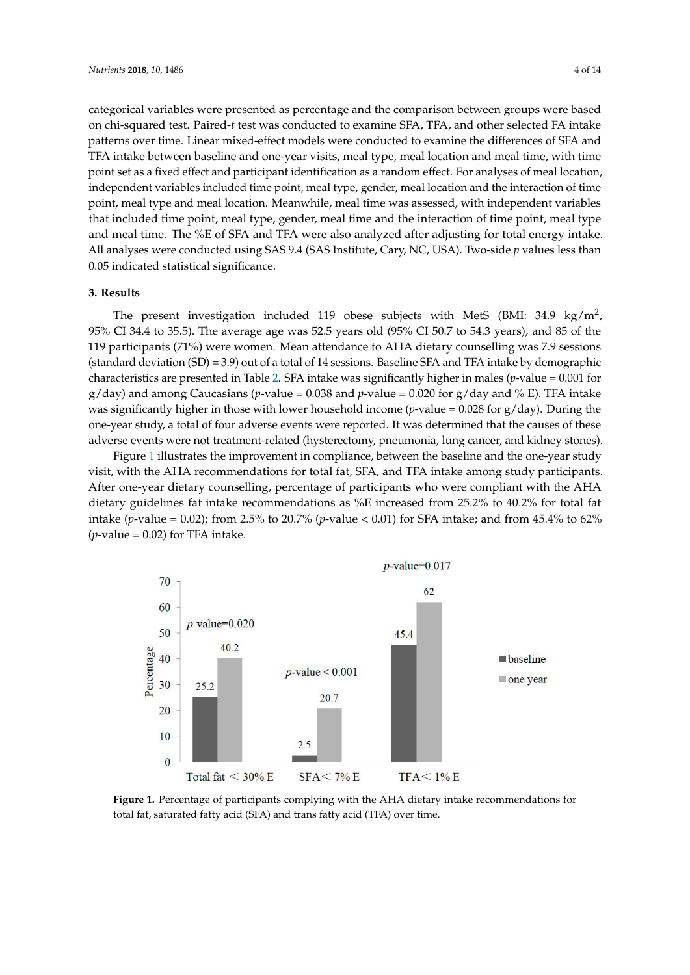categorical variables were presented as percentage and the comparison between groups were based on chi-squared test. Paired-t test was conducted to examine SFA, TFA, and other selected FA intake patterns over time. Linear mixed-effect models were conducted to examine the differences of SFA and TFA intake between baseline and one-year visits, meal type, meal location and meal time, with time point set as a fixed effect and participant identification as a random effect. For analyses of meal location, independent variables included time point, meal type, gender, meal location and the interaction of time point, meal type and meal location. Meanwhile, meal time was assessed, with independent variables that included time point, meal type, gender, meal time and the interaction of time point, meal type and meal time. The %E of SFA and TFA were also analyzed after adjusting for total energy intake. All analyses were conducted using SAS 9.4 (SAS Institute, Cary, NC, USA). Two-side *p* values less than 0.05 indicated statistical significance.

#### **3. Results**  $T_{\text{SUSY}}$

The present investigation included 119 obese subjects with MetS (BMI: 34.9 kg/m<sup>2</sup>, 95% CI 34.4 to 35.5). The average age was 52.5 years old (95% CI 50.7 to 54.3 years), and 85 of the 119 participants (71%) were women. Mean attendance to AHA dietary counselling was 7.9 sessions (standard deviation (SD) = 3.9) out of a total of 14 sessions. Baseline SFA and TFA intake by demographic characteristics are presented in Table 2. SFA intake was significantly higher in males ( $p$ -[val](#page-5-0)ue = 0.001 for  $g/day$ ) and among Caucasians (*p*-value = 0.038 and *p*-value = 0.020 for g/day and % E). TFA intake was significantly higher in those with lower household income (*p*-value = 0.028 for g/day). During the one-year study, a total of four adverse events were reported. It was determined that the causes of these adverse events were not treatment-related (hysterectomy, pneumonia, lung cancer, and kidney stones).

Figure 1 illustrates the improvement in compliance, between the baseline and the one-year study Figure 1 [ill](#page-4-0)ustrates the improvement in compliance, between the baseline and the one-year study visit, with the AHA recommendations for total fat, SFA, and TFA intake among study participants. visit, with the AHA recommendations for total fat, SFA, and TFA intake among study participants. After one-year dietary counselling, percentage of participants who were compliant with the AHA After one-year dietary counselling, percentage of participants who were compliant with the AHA dietary guidelines fat intake recommendations as %E increased from 25.2% to 40.2% for total fat dietary guidelines fat intake recommendations as %E increased from 25.2% to 40.2% for total fat intake (p-value = 0.02); from 2.5% to 20.7% (p-value < 0.01) for SFA intake; and from 45.4% to 62% (*p*-value = 0.02) for TFA intake. (*p*-value = 0.02) for TFA intake.

<span id="page-4-0"></span>

**Figure 1.** Percentage of participants complying with the AHA dietary intake recommendations for **Figure** 1. Percentage of participants complying with the AHA dietary intake recommendations for total fat, saturated fatty acid (SFA) and trans fatty acid (TFA) over time. total fat, saturated fatty acid (SFA) and trans fatty acid (TFA) over time.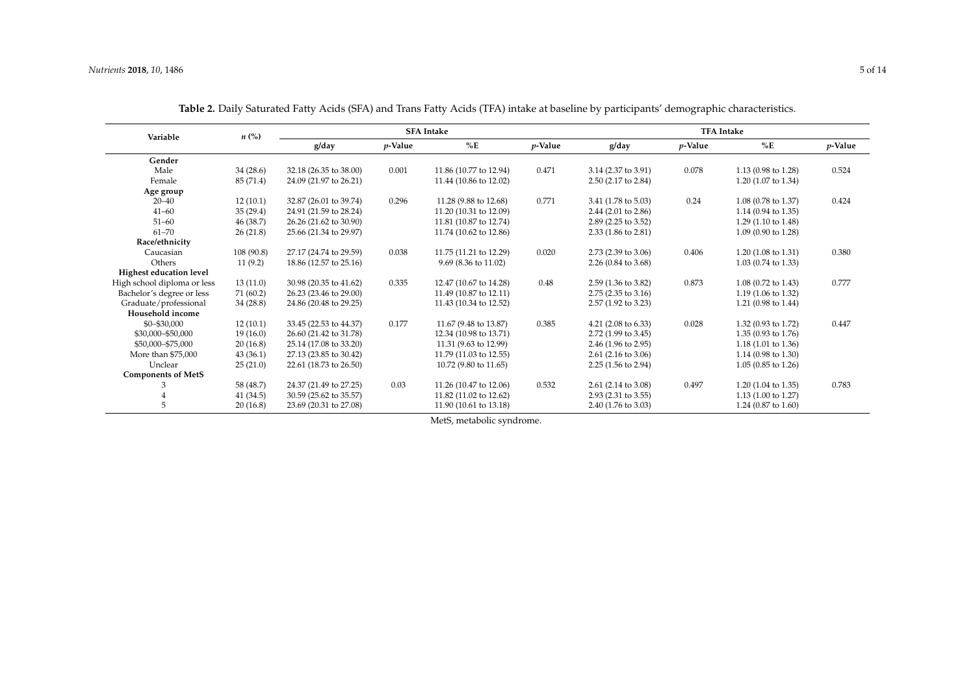<span id="page-5-0"></span>

| Variable                    | $n\left(\%\right)$ | <b>SFA Intake</b>      |            |                        |                 | <b>TFA</b> Intake             |            |                                |                 |
|-----------------------------|--------------------|------------------------|------------|------------------------|-----------------|-------------------------------|------------|--------------------------------|-----------------|
|                             |                    | g/day                  | $p$ -Value | %E                     | <i>p</i> -Value | g/day                         | $p$ -Value | %E                             | <i>p</i> -Value |
| Gender                      |                    |                        |            |                        |                 |                               |            |                                |                 |
| Male                        | 34(28.6)           | 32.18 (26.35 to 38.00) | 0.001      | 11.86 (10.77 to 12.94) | 0.471           | 3.14 (2.37 to 3.91)           | 0.078      | 1.13 (0.98 to 1.28)            | 0.524           |
| Female                      | 85 (71.4)          | 24.09 (21.97 to 26.21) |            | 11.44 (10.86 to 12.02) |                 | $2.50$ (2.17 to 2.84)         |            | 1.20 $(1.07 \text{ to } 1.34)$ |                 |
| Age group                   |                    |                        |            |                        |                 |                               |            |                                |                 |
| $20 - 40$                   | 12(10.1)           | 32.87 (26.01 to 39.74) | 0.296      | 11.28 (9.88 to 12.68)  | 0.771           | 3.41 (1.78 to 5.03)           | 0.24       | $1.08$ (0.78 to 1.37)          | 0.424           |
| $41 - 60$                   | 35(29.4)           | 24.91 (21.59 to 28.24) |            | 11.20 (10.31 to 12.09) |                 | $2.44$ (2.01 to 2.86)         |            | $1.14$ (0.94 to 1.35)          |                 |
| $51 - 60$                   | 46(38.7)           | 26.26 (21.62 to 30.90) |            | 11.81 (10.87 to 12.74) |                 | $2.89$ (2.25 to 3.52)         |            | $1.29(1.10 \text{ to } 1.48)$  |                 |
| $61 - 70$                   | 26(21.8)           | 25.66 (21.34 to 29.97) |            | 11.74 (10.62 to 12.86) |                 | $2.33(1.86 \text{ to } 2.81)$ |            | $1.09(0.90 \text{ to } 1.28)$  |                 |
| Race/ethnicity              |                    |                        |            |                        |                 |                               |            |                                |                 |
| Caucasian                   | 108(90.8)          | 27.17 (24.74 to 29.59) | 0.038      | 11.75 (11.21 to 12.29) | 0.020           | $2.73$ (2.39 to 3.06)         | 0.406      | $1.20(1.08 \text{ to } 1.31)$  | 0.380           |
| Others                      | 11(9.2)            | 18.86 (12.57 to 25.16) |            | 9.69 (8.36 to 11.02)   |                 | $2.26(0.84 \text{ to } 3.68)$ |            | 1.03 (0.74 to 1.33)            |                 |
| Highest education level     |                    |                        |            |                        |                 |                               |            |                                |                 |
| High school diploma or less | 13(11.0)           | 30.98 (20.35 to 41.62) | 0.335      | 12.47 (10.67 to 14.28) | 0.48            | 2.59 (1.36 to 3.82)           | 0.873      | $1.08$ (0.72 to 1.43)          | 0.777           |
| Bachelor's degree or less   | 71(60.2)           | 26.23 (23.46 to 29.00) |            | 11.49 (10.87 to 12.11) |                 | $2.75(2.35 \text{ to } 3.16)$ |            | $1.19(1.06 \text{ to } 1.32)$  |                 |
| Graduate/professional       | 34(28.8)           | 24.86 (20.48 to 29.25) |            | 11.43 (10.34 to 12.52) |                 | $2.57(1.92 \text{ to } 3.23)$ |            | 1.21 (0.98 to $1.44$ )         |                 |
| Household income            |                    |                        |            |                        |                 |                               |            |                                |                 |
| \$0-\$30,000                | 12(10.1)           | 33.45 (22.53 to 44.37) | 0.177      | 11.67 (9.48 to 13.87)  | 0.385           | $4.21$ (2.08 to 6.33)         | 0.028      | 1.32 (0.93 to 1.72)            | 0.447           |
| \$30,000-\$50,000           | 19(16.0)           | 26.60 (21.42 to 31.78) |            | 12.34 (10.98 to 13.71) |                 | $2.72$ (1.99 to 3.45)         |            | 1.35 $(0.93 \text{ to } 1.76)$ |                 |
| \$50,000-\$75,000           | 20(16.8)           | 25.14 (17.08 to 33.20) |            | 11.31 (9.63 to 12.99)  |                 | $2.46(1.96 \text{ to } 2.95)$ |            | 1.18(1.01 to 1.36)             |                 |
| More than \$75,000          | 43(36.1)           | 27.13 (23.85 to 30.42) |            | 11.79 (11.03 to 12.55) |                 | $2.61$ (2.16 to 3.06)         |            | $1.14(0.98 \text{ to } 1.30)$  |                 |
| Unclear                     | 25(21.0)           | 22.61 (18.73 to 26.50) |            | 10.72 (9.80 to 11.65)  |                 | $2.25(1.56 \text{ to } 2.94)$ |            | $1.05(0.85 \text{ to } 1.26)$  |                 |
| <b>Components of MetS</b>   |                    |                        |            |                        |                 |                               |            |                                |                 |
| З                           | 58 (48.7)          | 24.37 (21.49 to 27.25) | 0.03       | 11.26 (10.47 to 12.06) | 0.532           | 2.61 (2.14 to 3.08)           | 0.497      | $1.20$ (1.04 to 1.35)          | 0.783           |
|                             | 41(34.5)           | 30.59 (25.62 to 35.57) |            | 11.82 (11.02 to 12.62) |                 | $2.93$ (2.31 to 3.55)         |            | 1.13(1.00 to 1.27)             |                 |
| 5                           | 20(16.8)           | 23.69 (20.31 to 27.08) |            | 11.90 (10.61 to 13.18) |                 | 2.40 (1.76 to 3.03)           |            | 1.24 (0.87 to $1.60$ )         |                 |

**Table 2.** Daily Saturated Fatty Acids (SFA) and Trans Fatty Acids (TFA) intake at baseline by participants' demographic characteristics.

MetS, metabolic syndrome.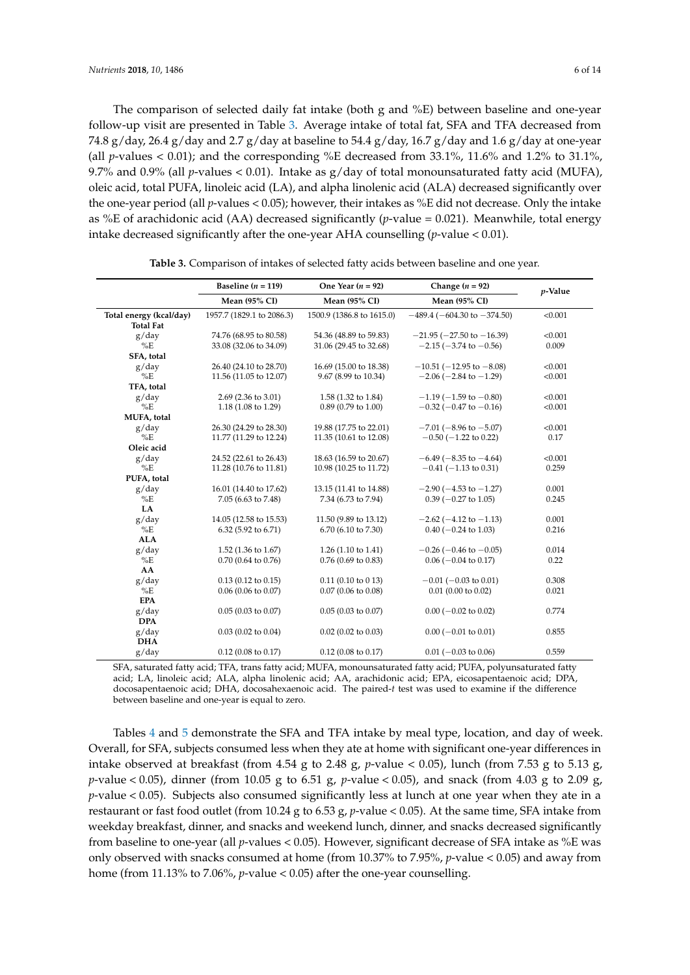The comparison of selected daily fat intake (both g and %E) between baseline and one-year follow-up visit are presented in Table [3.](#page-6-0) Average intake of total fat, SFA and TFA decreased from 74.8 g/day, 26.4 g/day and 2.7 g/day at baseline to 54.4 g/day, 16.7 g/day and 1.6 g/day at one-year (all *p*-values  $< 0.01$ ); and the corresponding %E decreased from 33.1%, 11.6% and 1.2% to 31.1%, 9.7% and 0.9% (all *p*-values < 0.01). Intake as g/day of total monounsaturated fatty acid (MUFA), oleic acid, total PUFA, linoleic acid (LA), and alpha linolenic acid (ALA) decreased significantly over the one-year period (all *p*-values < 0.05); however, their intakes as %E did not decrease. Only the intake as %E of arachidonic acid (AA) decreased significantly (*p*-value = 0.021). Meanwhile, total energy intake decreased significantly after the one-year AHA counselling (*p*-value < 0.01).

<span id="page-6-0"></span>

|                         | Baseline ( $n = 119$ )    | One Year $(n = 92)$           | Change $(n = 92)$                 | $p$ -Value |  |
|-------------------------|---------------------------|-------------------------------|-----------------------------------|------------|--|
|                         | Mean (95% CI)             | Mean (95% CI)                 | Mean (95% CI)                     |            |  |
| Total energy (kcal/day) | 1957.7 (1829.1 to 2086.3) | 1500.9 (1386.8 to 1615.0)     | $-489.4 (-604.30$ to $-374.50)$   | < 0.001    |  |
| <b>Total Fat</b>        |                           |                               |                                   |            |  |
| g/day                   | 74.76 (68.95 to 80.58)    | 54.36 (48.89 to 59.83)        | $-21.95$ ( $-27.50$ to $-16.39$ ) | < 0.001    |  |
| %E                      | 33.08 (32.06 to 34.09)    | 31.06 (29.45 to 32.68)        | $-2.15$ ( $-3.74$ to $-0.56$ )    | 0.009      |  |
| SFA, total              |                           |                               |                                   |            |  |
| g/day                   | 26.40 (24.10 to 28.70)    | 16.69 (15.00 to 18.38)        | $-10.51$ ( $-12.95$ to $-8.08$ )  | < 0.001    |  |
| $\%E$                   | 11.56 (11.05 to 12.07)    | 9.67 (8.99 to 10.34)          | $-2.06$ ( $-2.84$ to $-1.29$ )    | < 0.001    |  |
| TFA, total              |                           |                               |                                   |            |  |
| g/day                   | 2.69 (2.36 to 3.01)       | 1.58 (1.32 to 1.84)           | $-1.19$ ( $-1.59$ to $-0.80$ )    | < 0.001    |  |
| %E                      | 1.18 (1.08 to 1.29)       | $0.89$ (0.79 to 1.00)         | $-0.32$ ( $-0.47$ to $-0.16$ )    | < 0.001    |  |
| MUFA, total             |                           |                               |                                   |            |  |
| g/day                   | 26.30 (24.29 to 28.30)    | 19.88 (17.75 to 22.01)        | $-7.01$ ( $-8.96$ to $-5.07$ )    | < 0.001    |  |
| $\%E$                   | 11.77 (11.29 to 12.24)    | 11.35 (10.61 to 12.08)        | $-0.50$ ( $-1.22$ to 0.22)        | 0.17       |  |
| Oleic acid              |                           |                               |                                   |            |  |
| g/day                   | 24.52 (22.61 to 26.43)    | 18.63 (16.59 to 20.67)        | $-6.49$ ( $-8.35$ to $-4.64$ )    | < 0.001    |  |
| %E                      | 11.28 (10.76 to 11.81)    | 10.98 (10.25 to 11.72)        | $-0.41$ ( $-1.13$ to 0.31)        | 0.259      |  |
| PUFA, total             |                           |                               |                                   |            |  |
| g/day                   | 16.01 (14.40 to 17.62)    | 13.15 (11.41 to 14.88)        | $-2.90(-4.53$ to $-1.27$ )        | 0.001      |  |
| %E                      | 7.05 (6.63 to 7.48)       | 7.34 (6.73 to 7.94)           | $0.39$ (-0.27 to 1.05)            | 0.245      |  |
| LA                      |                           |                               |                                   |            |  |
| g/day                   | 14.05 (12.58 to 15.53)    | 11.50 (9.89 to 13.12)         | $-2.62$ ( $-4.12$ to $-1.13$ )    | 0.001      |  |
| %E                      | 6.32 (5.92 to 6.71)       | 6.70 (6.10 to 7.30)           | $0.40$ (-0.24 to 1.03)            | 0.216      |  |
| <b>ALA</b>              |                           |                               |                                   |            |  |
| g/day                   | 1.52 (1.36 to 1.67)       | $1.26(1.10 \text{ to } 1.41)$ | $-0.26$ ( $-0.46$ to $-0.05$ )    | 0.014      |  |
| %E                      | $0.70$ (0.64 to 0.76)     | $0.76$ (0.69 to 0.83)         | $0.06$ ( $-0.04$ to 0.17)         | 0.22       |  |
| AA                      |                           |                               |                                   |            |  |
| g/day                   | $0.13$ (0.12 to 0.15)     | $0.11$ (0.10 to 0 13)         | $-0.01$ ( $-0.03$ to 0.01)        | 0.308      |  |
| %E                      | $0.06$ (0.06 to 0.07)     | $0.07$ (0.06 to 0.08)         | $0.01$ (0.00 to 0.02)             | 0.021      |  |
| <b>EPA</b>              |                           |                               |                                   |            |  |
| g/day                   | $0.05$ (0.03 to 0.07)     | 0.05(0.03 to 0.07)            | $0.00$ (-0.02 to 0.02)            | 0.774      |  |
| <b>DPA</b>              |                           |                               |                                   |            |  |
| g/day                   | $0.03$ (0.02 to 0.04)     | $0.02$ (0.02 to 0.03)         | $0.00$ ( $-0.01$ to $0.01$ )      | 0.855      |  |
| <b>DHA</b>              |                           |                               |                                   |            |  |
| g/day                   | $0.12$ (0.08 to 0.17)     | $0.12$ (0.08 to 0.17)         | $0.01$ (-0.03 to 0.06)            | 0.559      |  |

**Table 3.** Comparison of intakes of selected fatty acids between baseline and one year.

SFA, saturated fatty acid; TFA, trans fatty acid; MUFA, monounsaturated fatty acid; PUFA, polyunsaturated fatty acid; LA, linoleic acid; ALA, alpha linolenic acid; AA, arachidonic acid; EPA, eicosapentaenoic acid; DPA, docosapentaenoic acid; DHA, docosahexaenoic acid. The paired-*t* test was used to examine if the difference between baseline and one-year is equal to zero.

Tables [4](#page-8-0) and [5](#page-9-0) demonstrate the SFA and TFA intake by meal type, location, and day of week. Overall, for SFA, subjects consumed less when they ate at home with significant one-year differences in intake observed at breakfast (from 4.54 g to 2.48 g,  $p$ -value < 0.05), lunch (from 7.53 g to 5.13 g, *p*-value < 0.05), dinner (from 10.05 g to 6.51 g, *p*-value < 0.05), and snack (from 4.03 g to 2.09 g,  $p$ -value  $< 0.05$ ). Subjects also consumed significantly less at lunch at one year when they ate in a restaurant or fast food outlet (from 10.24 g to 6.53 g, *p*-value < 0.05). At the same time, SFA intake from weekday breakfast, dinner, and snacks and weekend lunch, dinner, and snacks decreased significantly from baseline to one-year (all *p*-values < 0.05). However, significant decrease of SFA intake as %E was only observed with snacks consumed at home (from 10.37% to 7.95%, *p*-value < 0.05) and away from home (from 11.13% to 7.06%, *p*-value < 0.05) after the one-year counselling.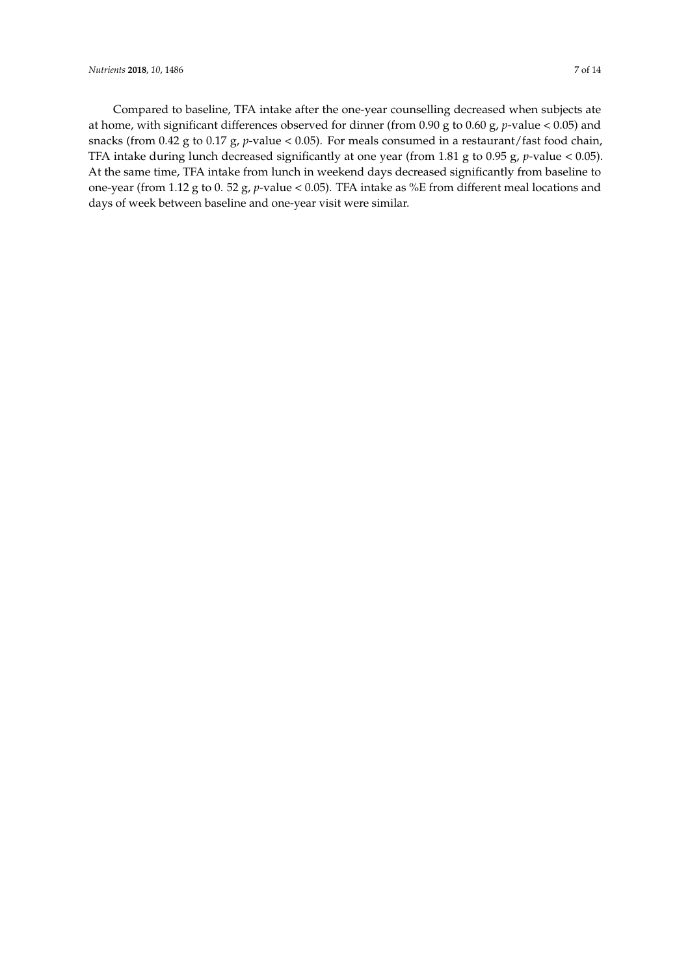Compared to baseline, TFA intake after the one-year counselling decreased when subjects ate at home, with significant differences observed for dinner (from 0.90 g to 0.60 g, *p*-value < 0.05) and snacks (from 0.42 g to 0.17 g, *p*-value < 0.05). For meals consumed in a restaurant/fast food chain, TFA intake during lunch decreased significantly at one year (from 1.81 g to 0.95 g, *p*-value < 0.05). At the same time, TFA intake from lunch in weekend days decreased significantly from baseline to one-year (from 1.12 g to 0. 52 g, *p*-value < 0.05). TFA intake as %E from different meal locations and days of week between baseline and one-year visit were similar.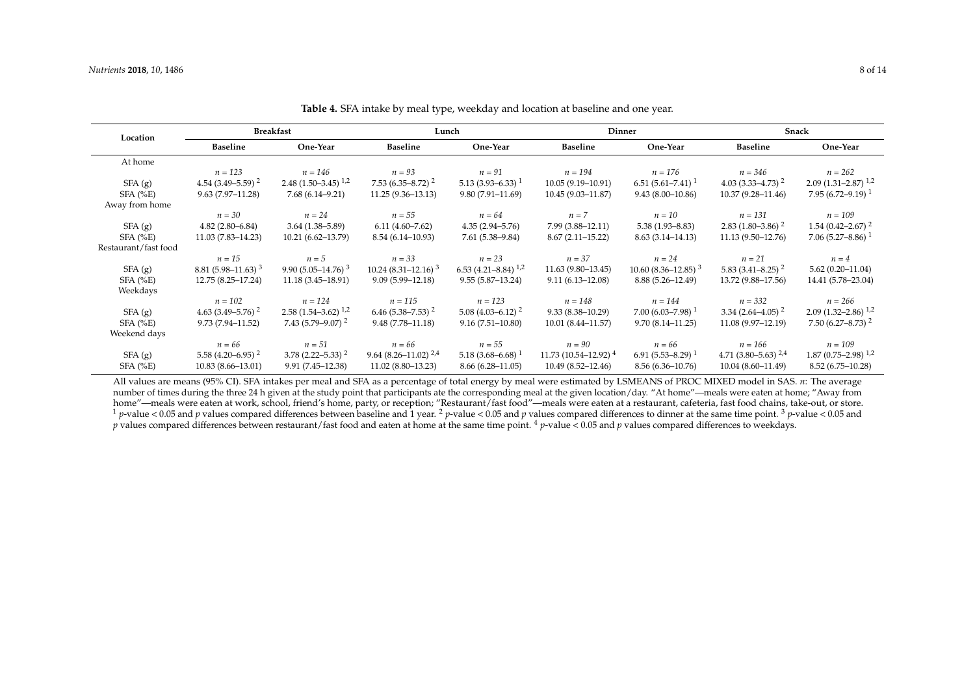| Location             | <b>Breakfast</b>       |                                   | Lunch                      |                           | Dinner                   |                         | Snack                         |                           |
|----------------------|------------------------|-----------------------------------|----------------------------|---------------------------|--------------------------|-------------------------|-------------------------------|---------------------------|
|                      | <b>Baseline</b>        | One-Year                          | <b>Baseline</b>            | One-Year                  | <b>Baseline</b>          | One-Year                | <b>Baseline</b>               | One-Year                  |
| At home              |                        |                                   |                            |                           |                          |                         |                               |                           |
|                      | $n = 123$              | $n = 146$                         | $n = 93$                   | $n=91$                    | $n = 194$                | $n = 176$               | $n = 346$                     | $n = 262$                 |
| SFA(g)               | 4.54 $(3.49 - 5.59)^2$ | 2.48 $(1.50-3.45)$ <sup>1,2</sup> | $7.53(6.35 - 8.72)^2$      | $5.13(3.93 - 6.33)^{1}$   | $10.05(9.19-10.91)$      | $6.51(5.61 - 7.41)^{1}$ | 4.03 (3.33–4.73) <sup>2</sup> | $2.09(1.31 - 2.87)^{1.2}$ |
| $SFA$ (%E)           | $9.63(7.97-11.28)$     | $7.68(6.14 - 9.21)$               | $11.25(9.36-13.13)$        | $9.80(7.91 - 11.69)$      | 10.45 (9.03-11.87)       | $9.43(8.00-10.86)$      | 10.37 (9.28-11.46)            | 7.95 $(6.72 - 9.19)^1$    |
| Away from home       |                        |                                   |                            |                           |                          |                         |                               |                           |
|                      | $n = 30$               | $n = 24$                          | $n = 55$                   | $n = 64$                  | $n = 7$                  | $n=10$                  | $n = 131$                     | $n = 109$                 |
| SFA(g)               | $4.82(2.80 - 6.84)$    | $3.64(1.38 - 5.89)$               | $6.11(4.60 - 7.62)$        | $4.35(2.94 - 5.76)$       | $7.99(3.88 - 12.11)$     | $5.38(1.93 - 8.83)$     | 2.83 $(1.80 - 3.86)^2$        | 1.54 $(0.42 - 2.67)^2$    |
| $SFA$ (%E)           | $11.03(7.83 - 14.23)$  | $10.21(6.62 - 13.79)$             | $8.54(6.14-10.93)$         | $7.61(5.38-9.84)$         | $8.67(2.11 - 15.22)$     | $8.63(3.14 - 14.13)$    | 11.13 (9.50–12.76)            | $7.06(5.27 - 8.86)^T$     |
| Restaurant/fast food |                        |                                   |                            |                           |                          |                         |                               |                           |
|                      | $n=15$                 | $n=5$                             | $n = 33$                   | $n = 23$                  | $n = 37$                 | $n = 24$                | $n=21$                        | $n=4$                     |
| SFA(g)               | $8.81(5.98-11.63)^3$   | $9.90(5.05-14.76)^3$              | 10.24 $(8.31-12.16)^3$     | 6.53 (4.21–8.84) $^{1,2}$ | $11.63(9.80-13.45)$      | $10.60(8.36-12.85)^3$   | $5.83(3.41 - 8.25)^2$         | $5.62(0.20 - 11.04)$      |
| $SFA$ (%E)           | 12.75 (8.25–17.24)     | $11.18(3.45 - 18.91)$             | $9.09(5.99 - 12.18)$       | $9.55(5.87-13.24)$        | $9.11(6.13 - 12.08)$     | $8.88(5.26 - 12.49)$    | 13.72 (9.88–17.56)            | 14.41 (5.78-23.04)        |
| Weekdays             |                        |                                   |                            |                           |                          |                         |                               |                           |
|                      | $n = 102$              | $n = 124$                         | $n = 115$                  | $n = 123$                 | $n = 148$                | $n = 144$               | $n = 332$                     | $n = 266$                 |
| SFA(g)               | 4.63 $(3.49 - 5.76)^2$ | $2.58(1.54-3.62)^{1,2}$           | $6.46(5.38 - 7.53)^2$      | $5.08(4.03 - 6.12)^2$     | $9.33(8.38 - 10.29)$     | $7.00(6.03 - 7.98)^{1}$ | $3.34(2.64-4.05)^2$           | $2.09(1.32 - 2.86)^{1.2}$ |
| $SFA$ (%E)           | 9.73 (7.94-11.52)      | 7.43 $(5.79-9.07)^2$              | $9.48(7.78 - 11.18)$       | $9.16(7.51 - 10.80)$      | $10.01(8.44 - 11.57)$    | $9.70(8.14 - 11.25)$    | $11.08(9.97-12.19)$           | $7.50(6.27 - 8.73)^2$     |
| Weekend days         |                        |                                   |                            |                           |                          |                         |                               |                           |
|                      | $n = 66$               | $n = 51$                          | $n = 66$                   | $n = 55$                  | $n = 90$                 | $n = 66$                | $n = 166$                     | $n = 109$                 |
| SFA(g)               | $5.58(4.20 - 6.95)^2$  | $3.78(2.22 - 5.33)^2$             | $9.64(8.26 - 11.02)^{2,4}$ | $5.18(3.68 - 6.68)^{1}$   | $11.73(10.54 - 12.92)^4$ | $6.91(5.53 - 8.29)^{1}$ | 4.71 (3.80–5.63) $^{2,4}$     | $1.87(0.75-2.98)^{1,2}$   |
| $SFA$ (%E)           | $10.83(8.66 - 13.01)$  | $9.91(7.45 - 12.38)$              | $11.02(8.80-13.23)$        | $8.66(6.28 - 11.05)$      | $10.49(8.52 - 12.46)$    | $8.56(6.36 - 10.76)$    | $10.04(8.60 - 11.49)$         | $8.52(6.75-10.28)$        |

**Table 4.** SFA intake by meal type, weekday and location at baseline and one year.

<span id="page-8-0"></span>All values are means (95% CI). SFA intakes per meal and SFA as a percentage of total energy by meal were estimated by LSMEANS of PROC MIXED model in SAS. *n*: The average number of times during the three 24 h given at the study point that participants ate the corresponding meal at the given location/day. "At home"—meals were eaten at home; "Away from home"—meals were eaten at work, school, friend's home, party, or reception; "Restaurant/fast food"—meals were eaten at a restaurant, cafeteria, fast food chains, take-out, or store. <sup>1</sup> *p*-value < 0.05 and *p* values compared differences between baseline and 1 year. <sup>2</sup> *p*-value < 0.05 and *p* values compared differences to dinner at the same time point. <sup>3</sup> *p*-value < 0.05 and *p* values compared differences between restaurant/fast food and eaten at home at the same time point. <sup>4</sup> *p*-value < 0.05 and *p* values compared differences to weekdays.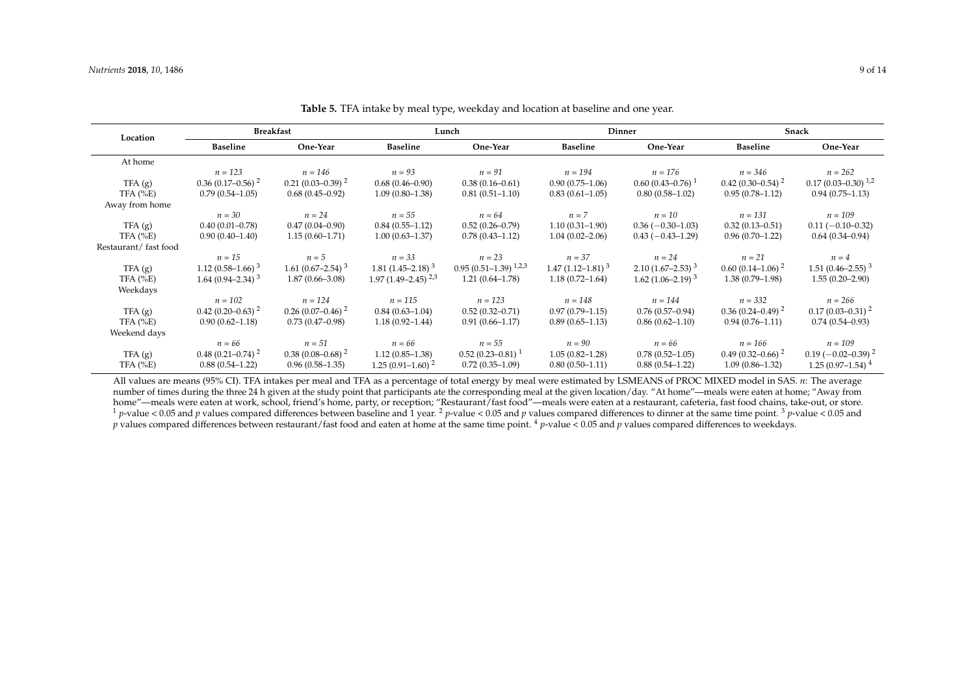| Location             | <b>Breakfast</b>        |                       | Lunch                     |                           | Dinner                  |                         | Snack                 |                           |
|----------------------|-------------------------|-----------------------|---------------------------|---------------------------|-------------------------|-------------------------|-----------------------|---------------------------|
|                      | <b>Baseline</b>         | One-Year              | <b>Baseline</b>           | One-Year                  | <b>Baseline</b>         | One-Year                | <b>Baseline</b>       | One-Year                  |
| At home              |                         |                       |                           |                           |                         |                         |                       |                           |
|                      | $n = 123$               | $n = 146$             | $n = 93$                  | $n = 91$                  | $n = 194$               | $n = 176$               | $n = 346$             | $n = 262$                 |
| TFA(g)               | $0.36(0.17-0.56)^2$     | $0.21(0.03 - 0.39)^2$ | $0.68(0.46 - 0.90)$       | $0.38(0.16 - 0.61)$       | $0.90(0.75-1.06)$       | $0.60(0.43 - 0.76)^{1}$ | $0.42(0.30-0.54)^2$   | $0.17(0.03 - 0.30)^{1.2}$ |
| TFA $(\%E)$          | $0.79(0.54 - 1.05)$     | $0.68(0.45 - 0.92)$   | $1.09(0.80 - 1.38)$       | $0.81(0.51-1.10)$         | $0.83(0.61-1.05)$       | $0.80(0.58-1.02)$       | $0.95(0.78 - 1.12)$   | $0.94(0.75 - 1.13)$       |
| Away from home       |                         |                       |                           |                           |                         |                         |                       |                           |
|                      | $n = 30$                | $n = 24$              | $n = 55$                  | $n = 64$                  | $n = 7$                 | $n=10$                  | $n = 131$             | $n = 109$                 |
| TFA(g)               | $0.40(0.01 - 0.78)$     | $0.47(0.04 - 0.90)$   | $0.84(0.55-1.12)$         | $0.52(0.26 - 0.79)$       | $1.10(0.31 - 1.90)$     | $0.36(-0.30-1.03)$      | $0.32(0.13 - 0.51)$   | $0.11 (-0.10 - 0.32)$     |
| TFA $(%E)$           | $0.90(0.40 - 1.40)$     | $1.15(0.60 - 1.71)$   | $1.00(0.63 - 1.37)$       | $0.78(0.43 - 1.12)$       | $1.04(0.02 - 2.06)$     | $0.43(-0.43-1.29)$      | $0.96(0.70-1.22)$     | $0.64(0.34 - 0.94)$       |
| Restaurant/fast food |                         |                       |                           |                           |                         |                         |                       |                           |
|                      | $n = 15$                | $n=5$                 | $n = 33$                  | $n = 23$                  | $n = 37$                | $n = 24$                | $n=21$                | $n=4$                     |
| TFA(g)               | 1.12 $(0.58-1.66)^3$    | $1.61(0.67-2.54)^3$   | $1.81(1.45-2.18)^3$       | $0.95(0.51-1.39)^{1,2,3}$ | $1.47(1.12 - 1.81)^{3}$ | $2.10(1.67-2.53)^{3}$   | $0.60(0.14-1.06)^2$   | $1.51(0.46-2.55)^{3}$     |
| TFA $(%E)$           | $1.64(0.94 - 2.34)^{3}$ | $1.87(0.66 - 3.08)$   | $1.97(1.49 - 2.45)^{2,3}$ | $1.21(0.64 - 1.78)$       | $1.18(0.72 - 1.64)$     | 1.62 $(1.06-2.19)^3$    | $1.38(0.79 - 1.98)$   | $1.55(0.20 - 2.90)$       |
| Weekdays             |                         |                       |                           |                           |                         |                         |                       |                           |
|                      | $n = 102$               | $n = 124$             | $n = 115$                 | $n = 123$                 | $n = 148$               | $n = 144$               | $n = 332$             | $n = 266$                 |
| TFA(g)               | $0.42(0.20-0.63)^2$     | $0.26(0.07-0.46)^2$   | $0.84(0.63 - 1.04)$       | $0.52(0.32 - 0.71)$       | $0.97(0.79 - 1.15)$     | $0.76(0.57-0.94)$       | $0.36(0.24 - 0.49)^2$ | $0.17(0.03 - 0.31)^2$     |
| TFA $(%E)$           | $0.90(0.62 - 1.18)$     | $0.73(0.47-0.98)$     | $1.18(0.92 - 1.44)$       | $0.91(0.66 - 1.17)$       | $0.89(0.65 - 1.13)$     | $0.86(0.62 - 1.10)$     | $0.94(0.76 - 1.11)$   | $0.74(0.54 - 0.93)$       |
| Weekend days         |                         |                       |                           |                           |                         |                         |                       |                           |
|                      | $n = 66$                | $n = 51$              | $n = 66$                  | $n = 55$                  | $n = 90$                | $n = 66$                | $n = 166$             | $n = 109$                 |
| TFA(g)               | $0.48(0.21 - 0.74)^2$   | $0.38(0.08 - 0.68)^2$ | $1.12(0.85 - 1.38)$       | $0.52(0.23 - 0.81)^{1}$   | $1.05(0.82 - 1.28)$     | $0.78(0.52 - 1.05)$     | $0.49(0.32 - 0.66)^2$ | $0.19(-0.02-0.39)^2$      |
| TFA $(\%E)$          | $0.88(0.54 - 1.22)$     | $0.96(0.58 - 1.35)$   | $1.25(0.91 - 1.60)^2$     | $0.72(0.35-1.09)$         | $0.80(0.50 - 1.11)$     | $0.88(0.54 - 1.22)$     | $1.09(0.86 - 1.32)$   | $1.25(0.97-1.54)^4$       |

**Table 5.** TFA intake by meal type, weekday and location at baseline and one year.

<span id="page-9-0"></span>All values are means (95% CI). TFA intakes per meal and TFA as a percentage of total energy by meal were estimated by LSMEANS of PROC MIXED model in SAS. *n*: The average number of times during the three 24 h given at the study point that participants ate the corresponding meal at the given location/day. "At home"—meals were eaten at home; "Away from home"—meals were eaten at work, school, friend's home, party, or reception; "Restaurant/fast food"—meals were eaten at a restaurant, cafeteria, fast food chains, take-out, or store. <sup>1</sup> *p*-value < 0.05 and *p* values compared differences between baseline and 1 year. <sup>2</sup> *p*-value < 0.05 and *p* values compared differences to dinner at the same time point. <sup>3</sup> *p*-value < 0.05 and *p* values compared differences between restaurant/fast food and eaten at home at the same time point. <sup>4</sup> *p*-value < 0.05 and *p* values compared differences to weekdays.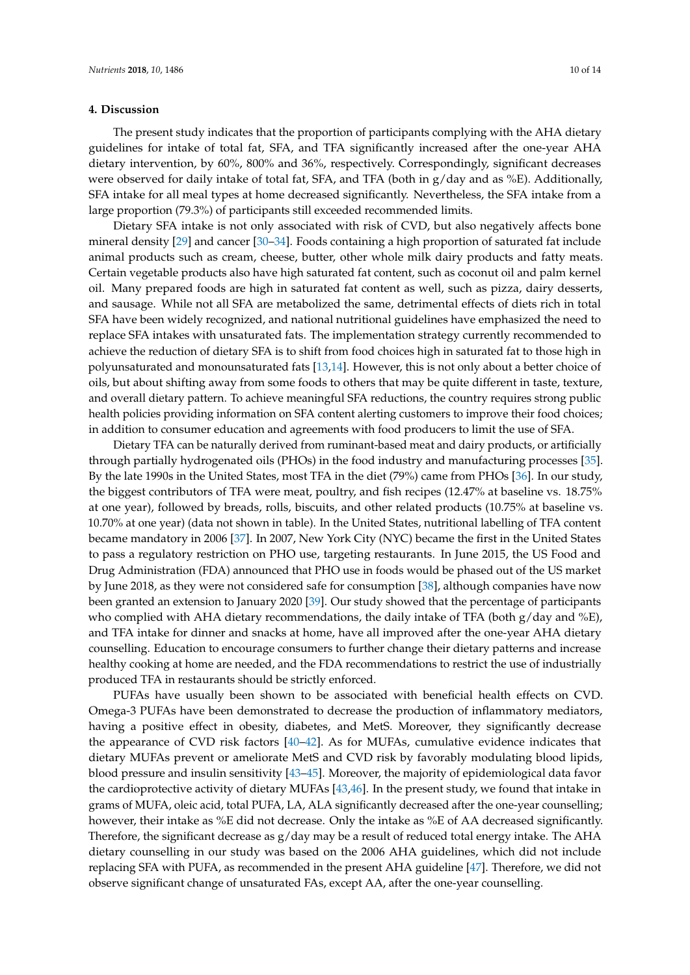#### **4. Discussion**

The present study indicates that the proportion of participants complying with the AHA dietary guidelines for intake of total fat, SFA, and TFA significantly increased after the one-year AHA dietary intervention, by 60%, 800% and 36%, respectively. Correspondingly, significant decreases were observed for daily intake of total fat, SFA, and TFA (both in g/day and as %E). Additionally, SFA intake for all meal types at home decreased significantly. Nevertheless, the SFA intake from a large proportion (79.3%) of participants still exceeded recommended limits.

Dietary SFA intake is not only associated with risk of CVD, but also negatively affects bone mineral density [\[29\]](#page-13-6) and cancer [\[30–](#page-13-7)[34\]](#page-13-8). Foods containing a high proportion of saturated fat include animal products such as cream, cheese, butter, other whole milk dairy products and fatty meats. Certain vegetable products also have high saturated fat content, such as coconut oil and palm kernel oil. Many prepared foods are high in saturated fat content as well, such as pizza, dairy desserts, and sausage. While not all SFA are metabolized the same, detrimental effects of diets rich in total SFA have been widely recognized, and national nutritional guidelines have emphasized the need to replace SFA intakes with unsaturated fats. The implementation strategy currently recommended to achieve the reduction of dietary SFA is to shift from food choices high in saturated fat to those high in polyunsaturated and monounsaturated fats [\[13](#page-12-4)[,14\]](#page-12-5). However, this is not only about a better choice of oils, but about shifting away from some foods to others that may be quite different in taste, texture, and overall dietary pattern. To achieve meaningful SFA reductions, the country requires strong public health policies providing information on SFA content alerting customers to improve their food choices; in addition to consumer education and agreements with food producers to limit the use of SFA.

Dietary TFA can be naturally derived from ruminant-based meat and dairy products, or artificially through partially hydrogenated oils (PHOs) in the food industry and manufacturing processes [\[35\]](#page-13-9). By the late 1990s in the United States, most TFA in the diet (79%) came from PHOs [\[36\]](#page-13-10). In our study, the biggest contributors of TFA were meat, poultry, and fish recipes (12.47% at baseline vs. 18.75% at one year), followed by breads, rolls, biscuits, and other related products (10.75% at baseline vs. 10.70% at one year) (data not shown in table). In the United States, nutritional labelling of TFA content became mandatory in 2006 [\[37\]](#page-13-11). In 2007, New York City (NYC) became the first in the United States to pass a regulatory restriction on PHO use, targeting restaurants. In June 2015, the US Food and Drug Administration (FDA) announced that PHO use in foods would be phased out of the US market by June 2018, as they were not considered safe for consumption [\[38\]](#page-13-12), although companies have now been granted an extension to January 2020 [\[39\]](#page-13-13). Our study showed that the percentage of participants who complied with AHA dietary recommendations, the daily intake of TFA (both  $g/day$  and %E), and TFA intake for dinner and snacks at home, have all improved after the one-year AHA dietary counselling. Education to encourage consumers to further change their dietary patterns and increase healthy cooking at home are needed, and the FDA recommendations to restrict the use of industrially produced TFA in restaurants should be strictly enforced.

PUFAs have usually been shown to be associated with beneficial health effects on CVD. Omega-3 PUFAs have been demonstrated to decrease the production of inflammatory mediators, having a positive effect in obesity, diabetes, and MetS. Moreover, they significantly decrease the appearance of CVD risk factors [\[40](#page-13-14)[–42\]](#page-14-0). As for MUFAs, cumulative evidence indicates that dietary MUFAs prevent or ameliorate MetS and CVD risk by favorably modulating blood lipids, blood pressure and insulin sensitivity [\[43–](#page-14-1)[45\]](#page-14-2). Moreover, the majority of epidemiological data favor the cardioprotective activity of dietary MUFAs [\[43,](#page-14-1)[46\]](#page-14-3). In the present study, we found that intake in grams of MUFA, oleic acid, total PUFA, LA, ALA significantly decreased after the one-year counselling; however, their intake as %E did not decrease. Only the intake as %E of AA decreased significantly. Therefore, the significant decrease as  $g/day$  may be a result of reduced total energy intake. The AHA dietary counselling in our study was based on the 2006 AHA guidelines, which did not include replacing SFA with PUFA, as recommended in the present AHA guideline [\[47\]](#page-14-4). Therefore, we did not observe significant change of unsaturated FAs, except AA, after the one-year counselling.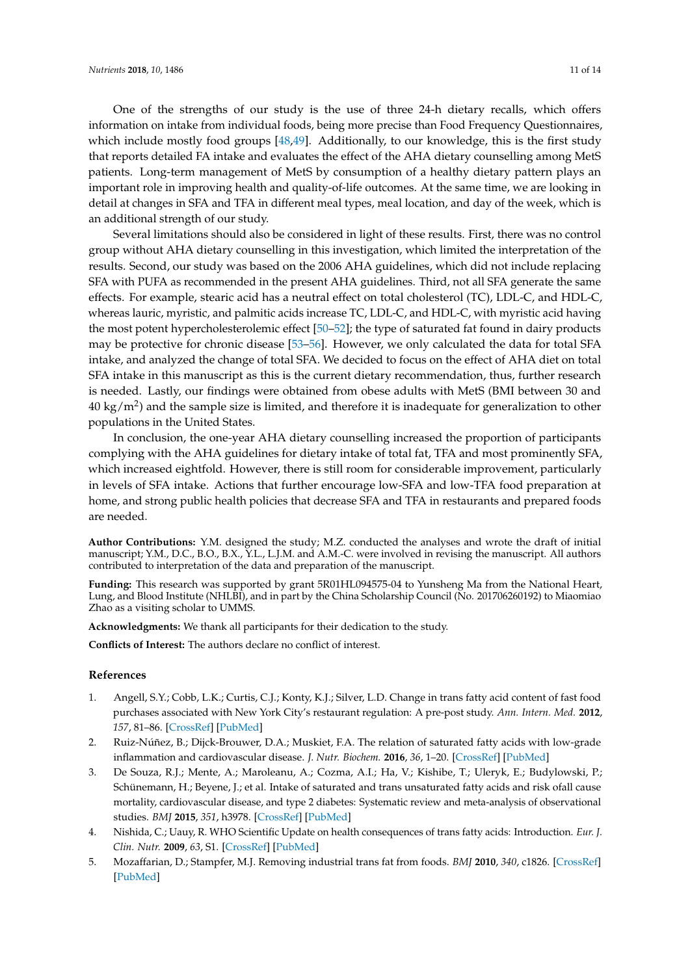One of the strengths of our study is the use of three 24-h dietary recalls, which offers information on intake from individual foods, being more precise than Food Frequency Questionnaires, which include mostly food groups [\[48](#page-14-5)[,49\]](#page-14-6). Additionally, to our knowledge, this is the first study that reports detailed FA intake and evaluates the effect of the AHA dietary counselling among MetS patients. Long-term management of MetS by consumption of a healthy dietary pattern plays an important role in improving health and quality-of-life outcomes. At the same time, we are looking in detail at changes in SFA and TFA in different meal types, meal location, and day of the week, which is an additional strength of our study.

Several limitations should also be considered in light of these results. First, there was no control group without AHA dietary counselling in this investigation, which limited the interpretation of the results. Second, our study was based on the 2006 AHA guidelines, which did not include replacing SFA with PUFA as recommended in the present AHA guidelines. Third, not all SFA generate the same effects. For example, stearic acid has a neutral effect on total cholesterol (TC), LDL-C, and HDL-C, whereas lauric, myristic, and palmitic acids increase TC, LDL-C, and HDL-C, with myristic acid having the most potent hypercholesterolemic effect [\[50](#page-14-7)[–52\]](#page-14-8); the type of saturated fat found in dairy products may be protective for chronic disease [\[53–](#page-14-9)[56\]](#page-14-10). However, we only calculated the data for total SFA intake, and analyzed the change of total SFA. We decided to focus on the effect of AHA diet on total SFA intake in this manuscript as this is the current dietary recommendation, thus, further research is needed. Lastly, our findings were obtained from obese adults with MetS (BMI between 30 and  $40 \text{ kg/m}^2$ ) and the sample size is limited, and therefore it is inadequate for generalization to other populations in the United States.

In conclusion, the one-year AHA dietary counselling increased the proportion of participants complying with the AHA guidelines for dietary intake of total fat, TFA and most prominently SFA, which increased eightfold. However, there is still room for considerable improvement, particularly in levels of SFA intake. Actions that further encourage low-SFA and low-TFA food preparation at home, and strong public health policies that decrease SFA and TFA in restaurants and prepared foods are needed.

**Author Contributions:** Y.M. designed the study; M.Z. conducted the analyses and wrote the draft of initial manuscript; Y.M., D.C., B.O., B.X., Y.L., L.J.M. and A.M.-C. were involved in revising the manuscript. All authors contributed to interpretation of the data and preparation of the manuscript.

**Funding:** This research was supported by grant 5R01HL094575-04 to Yunsheng Ma from the National Heart, Lung, and Blood Institute (NHLBI), and in part by the China Scholarship Council (No. 201706260192) to Miaomiao Zhao as a visiting scholar to UMMS.

**Acknowledgments:** We thank all participants for their dedication to the study.

**Conflicts of Interest:** The authors declare no conflict of interest.

#### **References**

- <span id="page-11-0"></span>1. Angell, S.Y.; Cobb, L.K.; Curtis, C.J.; Konty, K.J.; Silver, L.D. Change in trans fatty acid content of fast food purchases associated with New York City's restaurant regulation: A pre-post study. *Ann. Intern. Med.* **2012**, *157*, 81–86. [\[CrossRef\]](http://dx.doi.org/10.7326/0003-4819-157-2-201207170-00004) [\[PubMed\]](http://www.ncbi.nlm.nih.gov/pubmed/22801670)
- <span id="page-11-1"></span>2. Ruiz-Núñez, B.; Dijck-Brouwer, D.A.; Muskiet, F.A. The relation of saturated fatty acids with low-grade inflammation and cardiovascular disease. *J. Nutr. Biochem.* **2016**, *36*, 1–20. [\[CrossRef\]](http://dx.doi.org/10.1016/j.jnutbio.2015.12.007) [\[PubMed\]](http://www.ncbi.nlm.nih.gov/pubmed/27692243)
- 3. De Souza, R.J.; Mente, A.; Maroleanu, A.; Cozma, A.I.; Ha, V.; Kishibe, T.; Uleryk, E.; Budylowski, P.; Schünemann, H.; Beyene, J.; et al. Intake of saturated and trans unsaturated fatty acids and risk ofall cause mortality, cardiovascular disease, and type 2 diabetes: Systematic review and meta-analysis of observational studies. *BMJ* **2015**, *351*, h3978. [\[CrossRef\]](http://dx.doi.org/10.1136/bmj.h3978) [\[PubMed\]](http://www.ncbi.nlm.nih.gov/pubmed/26268692)
- 4. Nishida, C.; Uauy, R. WHO Scientific Update on health consequences of trans fatty acids: Introduction. *Eur. J. Clin. Nutr.* **2009**, *63*, S1. [\[CrossRef\]](http://dx.doi.org/10.1038/ejcn.2009.13) [\[PubMed\]](http://www.ncbi.nlm.nih.gov/pubmed/19424215)
- <span id="page-11-2"></span>5. Mozaffarian, D.; Stampfer, M.J. Removing industrial trans fat from foods. *BMJ* **2010**, *340*, c1826. [\[CrossRef\]](http://dx.doi.org/10.1136/bmj.c1826) [\[PubMed\]](http://www.ncbi.nlm.nih.gov/pubmed/20395265)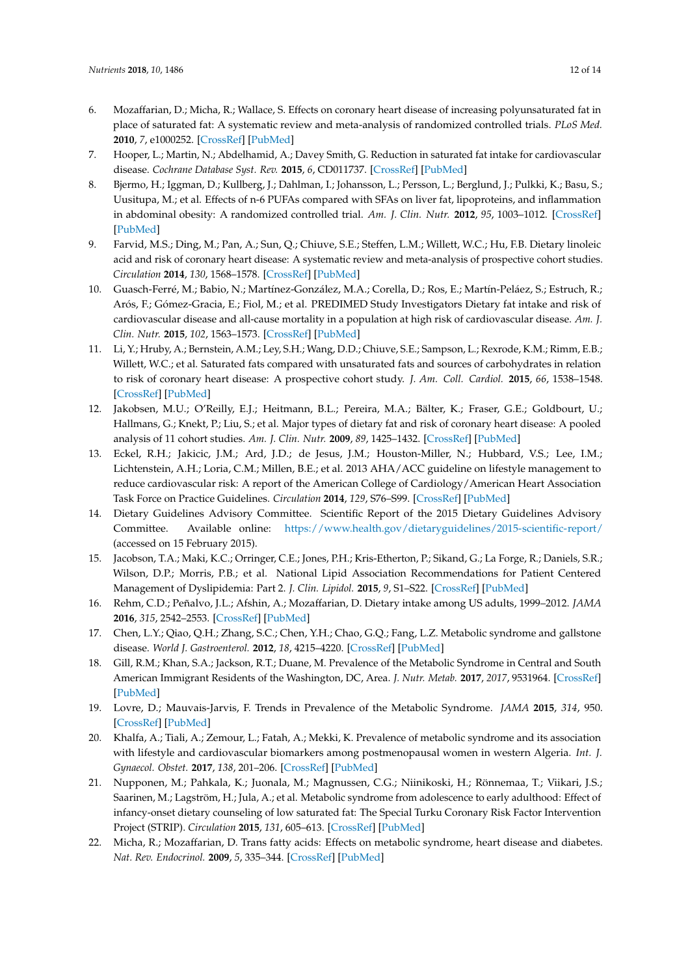- <span id="page-12-0"></span>6. Mozaffarian, D.; Micha, R.; Wallace, S. Effects on coronary heart disease of increasing polyunsaturated fat in place of saturated fat: A systematic review and meta-analysis of randomized controlled trials. *PLoS Med.* **2010**, *7*, e1000252. [\[CrossRef\]](http://dx.doi.org/10.1371/journal.pmed.1000252) [\[PubMed\]](http://www.ncbi.nlm.nih.gov/pubmed/20351774)
- 7. Hooper, L.; Martin, N.; Abdelhamid, A.; Davey Smith, G. Reduction in saturated fat intake for cardiovascular disease. *Cochrane Database Syst. Rev.* **2015**, *6*, CD011737. [\[CrossRef\]](http://dx.doi.org/10.1002/14651858.CD011737) [\[PubMed\]](http://www.ncbi.nlm.nih.gov/pubmed/26068959)
- <span id="page-12-1"></span>8. Bjermo, H.; Iggman, D.; Kullberg, J.; Dahlman, I.; Johansson, L.; Persson, L.; Berglund, J.; Pulkki, K.; Basu, S.; Uusitupa, M.; et al. Effects of n-6 PUFAs compared with SFAs on liver fat, lipoproteins, and inflammation in abdominal obesity: A randomized controlled trial. *Am. J. Clin. Nutr.* **2012**, *95*, 1003–1012. [\[CrossRef\]](http://dx.doi.org/10.3945/ajcn.111.030114) [\[PubMed\]](http://www.ncbi.nlm.nih.gov/pubmed/22492369)
- <span id="page-12-2"></span>9. Farvid, M.S.; Ding, M.; Pan, A.; Sun, Q.; Chiuve, S.E.; Steffen, L.M.; Willett, W.C.; Hu, F.B. Dietary linoleic acid and risk of coronary heart disease: A systematic review and meta-analysis of prospective cohort studies. *Circulation* **2014**, *130*, 1568–1578. [\[CrossRef\]](http://dx.doi.org/10.1161/CIRCULATIONAHA.114.010236) [\[PubMed\]](http://www.ncbi.nlm.nih.gov/pubmed/25161045)
- 10. Guasch-Ferré, M.; Babio, N.; Martínez-González, M.A.; Corella, D.; Ros, E.; Martín-Peláez, S.; Estruch, R.; Arós, F.; Gómez-Gracia, E.; Fiol, M.; et al. PREDIMED Study Investigators Dietary fat intake and risk of cardiovascular disease and all-cause mortality in a population at high risk of cardiovascular disease. *Am. J. Clin. Nutr.* **2015**, *102*, 1563–1573. [\[CrossRef\]](http://dx.doi.org/10.3945/ajcn.115.116046) [\[PubMed\]](http://www.ncbi.nlm.nih.gov/pubmed/26561617)
- 11. Li, Y.; Hruby, A.; Bernstein, A.M.; Ley, S.H.; Wang, D.D.; Chiuve, S.E.; Sampson, L.; Rexrode, K.M.; Rimm, E.B.; Willett, W.C.; et al. Saturated fats compared with unsaturated fats and sources of carbohydrates in relation to risk of coronary heart disease: A prospective cohort study. *J. Am. Coll. Cardiol.* **2015**, *66*, 1538–1548. [\[CrossRef\]](http://dx.doi.org/10.1016/j.jacc.2015.07.055) [\[PubMed\]](http://www.ncbi.nlm.nih.gov/pubmed/26429077)
- <span id="page-12-3"></span>12. Jakobsen, M.U.; O'Reilly, E.J.; Heitmann, B.L.; Pereira, M.A.; Bälter, K.; Fraser, G.E.; Goldbourt, U.; Hallmans, G.; Knekt, P.; Liu, S.; et al. Major types of dietary fat and risk of coronary heart disease: A pooled analysis of 11 cohort studies. *Am. J. Clin. Nutr.* **2009**, *89*, 1425–1432. [\[CrossRef\]](http://dx.doi.org/10.3945/ajcn.2008.27124) [\[PubMed\]](http://www.ncbi.nlm.nih.gov/pubmed/19211817)
- <span id="page-12-4"></span>13. Eckel, R.H.; Jakicic, J.M.; Ard, J.D.; de Jesus, J.M.; Houston-Miller, N.; Hubbard, V.S.; Lee, I.M.; Lichtenstein, A.H.; Loria, C.M.; Millen, B.E.; et al. 2013 AHA/ACC guideline on lifestyle management to reduce cardiovascular risk: A report of the American College of Cardiology/American Heart Association Task Force on Practice Guidelines. *Circulation* **2014**, *129*, S76–S99. [\[CrossRef\]](http://dx.doi.org/10.1161/01.cir.0000437740.48606.d1) [\[PubMed\]](http://www.ncbi.nlm.nih.gov/pubmed/24222015)
- <span id="page-12-5"></span>14. Dietary Guidelines Advisory Committee. Scientific Report of the 2015 Dietary Guidelines Advisory Committee. Available online: <https://www.health.gov/dietaryguidelines/2015-scientific-report/> (accessed on 15 February 2015).
- <span id="page-12-6"></span>15. Jacobson, T.A.; Maki, K.C.; Orringer, C.E.; Jones, P.H.; Kris-Etherton, P.; Sikand, G.; La Forge, R.; Daniels, S.R.; Wilson, D.P.; Morris, P.B.; et al. National Lipid Association Recommendations for Patient Centered Management of Dyslipidemia: Part 2. *J. Clin. Lipidol.* **2015**, *9*, S1–S22. [\[CrossRef\]](http://dx.doi.org/10.1016/j.jacl.2015.09.002) [\[PubMed\]](http://www.ncbi.nlm.nih.gov/pubmed/26699442)
- <span id="page-12-7"></span>16. Rehm, C.D.; Peñalvo, J.L.; Afshin, A.; Mozaffarian, D. Dietary intake among US adults, 1999–2012. *JAMA* **2016**, *315*, 2542–2553. [\[CrossRef\]](http://dx.doi.org/10.1001/jama.2016.7491) [\[PubMed\]](http://www.ncbi.nlm.nih.gov/pubmed/27327801)
- <span id="page-12-8"></span>17. Chen, L.Y.; Qiao, Q.H.; Zhang, S.C.; Chen, Y.H.; Chao, G.Q.; Fang, L.Z. Metabolic syndrome and gallstone disease. *World J. Gastroenterol.* **2012**, *18*, 4215–4220. [\[CrossRef\]](http://dx.doi.org/10.3748/wjg.v18.i31.4215) [\[PubMed\]](http://www.ncbi.nlm.nih.gov/pubmed/22919256)
- <span id="page-12-9"></span>18. Gill, R.M.; Khan, S.A.; Jackson, R.T.; Duane, M. Prevalence of the Metabolic Syndrome in Central and South American Immigrant Residents of the Washington, DC, Area. *J. Nutr. Metab.* **2017**, *2017*, 9531964. [\[CrossRef\]](http://dx.doi.org/10.1155/2017/9531964) [\[PubMed\]](http://www.ncbi.nlm.nih.gov/pubmed/28744376)
- <span id="page-12-10"></span>19. Lovre, D.; Mauvais-Jarvis, F. Trends in Prevalence of the Metabolic Syndrome. *JAMA* **2015**, *314*, 950. [\[CrossRef\]](http://dx.doi.org/10.1001/jama.2015.8625) [\[PubMed\]](http://www.ncbi.nlm.nih.gov/pubmed/26325567)
- <span id="page-12-11"></span>20. Khalfa, A.; Tiali, A.; Zemour, L.; Fatah, A.; Mekki, K. Prevalence of metabolic syndrome and its association with lifestyle and cardiovascular biomarkers among postmenopausal women in western Algeria. *Int. J. Gynaecol. Obstet.* **2017**, *138*, 201–206. [\[CrossRef\]](http://dx.doi.org/10.1002/ijgo.12206) [\[PubMed\]](http://www.ncbi.nlm.nih.gov/pubmed/28494104)
- 21. Nupponen, M.; Pahkala, K.; Juonala, M.; Magnussen, C.G.; Niinikoski, H.; Rönnemaa, T.; Viikari, J.S.; Saarinen, M.; Lagström, H.; Jula, A.; et al. Metabolic syndrome from adolescence to early adulthood: Effect of infancy-onset dietary counseling of low saturated fat: The Special Turku Coronary Risk Factor Intervention Project (STRIP). *Circulation* **2015**, *131*, 605–613. [\[CrossRef\]](http://dx.doi.org/10.1161/CIRCULATIONAHA.114.010532) [\[PubMed\]](http://www.ncbi.nlm.nih.gov/pubmed/25605660)
- 22. Micha, R.; Mozaffarian, D. Trans fatty acids: Effects on metabolic syndrome, heart disease and diabetes. *Nat. Rev. Endocrinol.* **2009**, *5*, 335–344. [\[CrossRef\]](http://dx.doi.org/10.1038/nrendo.2009.79) [\[PubMed\]](http://www.ncbi.nlm.nih.gov/pubmed/19399016)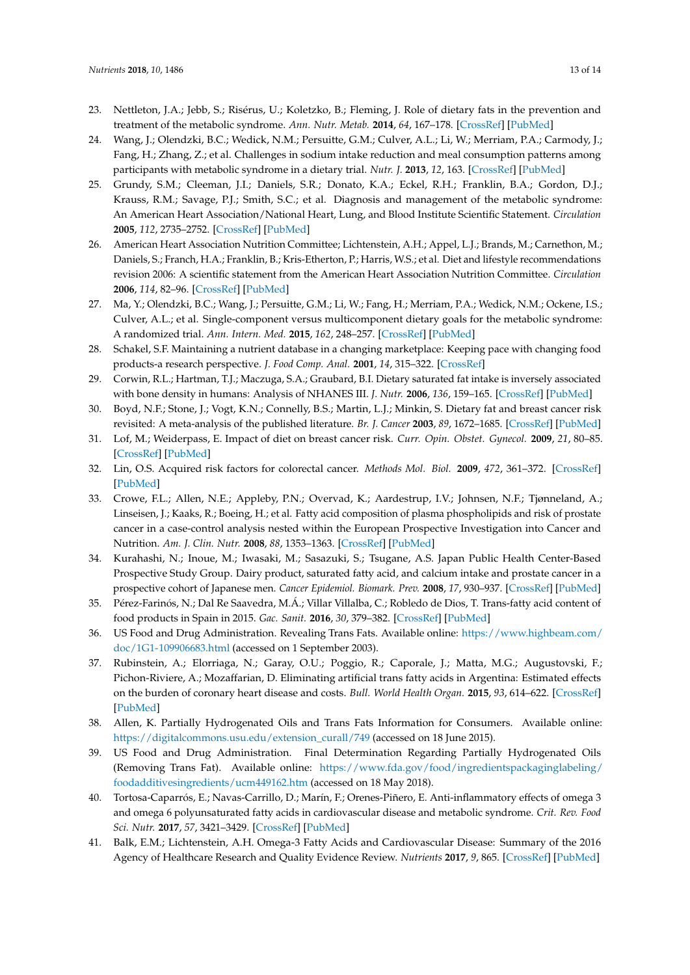- <span id="page-13-0"></span>23. Nettleton, J.A.; Jebb, S.; Risérus, U.; Koletzko, B.; Fleming, J. Role of dietary fats in the prevention and treatment of the metabolic syndrome. *Ann. Nutr. Metab.* **2014**, *64*, 167–178. [\[CrossRef\]](http://dx.doi.org/10.1159/000363510) [\[PubMed\]](http://www.ncbi.nlm.nih.gov/pubmed/25139638)
- <span id="page-13-1"></span>24. Wang, J.; Olendzki, B.C.; Wedick, N.M.; Persuitte, G.M.; Culver, A.L.; Li, W.; Merriam, P.A.; Carmody, J.; Fang, H.; Zhang, Z.; et al. Challenges in sodium intake reduction and meal consumption patterns among participants with metabolic syndrome in a dietary trial. *Nutr. J.* **2013**, *12*, 163. [\[CrossRef\]](http://dx.doi.org/10.1186/1475-2891-12-163) [\[PubMed\]](http://www.ncbi.nlm.nih.gov/pubmed/24345027)
- <span id="page-13-2"></span>25. Grundy, S.M.; Cleeman, J.I.; Daniels, S.R.; Donato, K.A.; Eckel, R.H.; Franklin, B.A.; Gordon, D.J.; Krauss, R.M.; Savage, P.J.; Smith, S.C.; et al. Diagnosis and management of the metabolic syndrome: An American Heart Association/National Heart, Lung, and Blood Institute Scientific Statement. *Circulation* **2005**, *112*, 2735–2752. [\[CrossRef\]](http://dx.doi.org/10.1161/CIRCULATIONAHA.105.169404) [\[PubMed\]](http://www.ncbi.nlm.nih.gov/pubmed/16157765)
- <span id="page-13-3"></span>26. American Heart Association Nutrition Committee; Lichtenstein, A.H.; Appel, L.J.; Brands, M.; Carnethon, M.; Daniels, S.; Franch, H.A.; Franklin, B.; Kris-Etherton, P.; Harris, W.S.; et al. Diet and lifestyle recommendations revision 2006: A scientific statement from the American Heart Association Nutrition Committee. *Circulation* **2006**, *114*, 82–96. [\[CrossRef\]](http://dx.doi.org/10.1161/CIRCULATIONAHA.106.176158) [\[PubMed\]](http://www.ncbi.nlm.nih.gov/pubmed/16785338)
- <span id="page-13-4"></span>27. Ma, Y.; Olendzki, B.C.; Wang, J.; Persuitte, G.M.; Li, W.; Fang, H.; Merriam, P.A.; Wedick, N.M.; Ockene, I.S.; Culver, A.L.; et al. Single-component versus multicomponent dietary goals for the metabolic syndrome: A randomized trial. *Ann. Intern. Med.* **2015**, *162*, 248–257. [\[CrossRef\]](http://dx.doi.org/10.7326/M14-0611) [\[PubMed\]](http://www.ncbi.nlm.nih.gov/pubmed/25686165)
- <span id="page-13-5"></span>28. Schakel, S.F. Maintaining a nutrient database in a changing marketplace: Keeping pace with changing food products-a research perspective. *J. Food Comp. Anal.* **2001**, *14*, 315–322. [\[CrossRef\]](http://dx.doi.org/10.1006/jfca.2001.0992)
- <span id="page-13-6"></span>29. Corwin, R.L.; Hartman, T.J.; Maczuga, S.A.; Graubard, B.I. Dietary saturated fat intake is inversely associated with bone density in humans: Analysis of NHANES III. *J. Nutr.* **2006**, *136*, 159–165. [\[CrossRef\]](http://dx.doi.org/10.1093/jn/136.1.159) [\[PubMed\]](http://www.ncbi.nlm.nih.gov/pubmed/16365076)
- <span id="page-13-7"></span>30. Boyd, N.F.; Stone, J.; Vogt, K.N.; Connelly, B.S.; Martin, L.J.; Minkin, S. Dietary fat and breast cancer risk revisited: A meta-analysis of the published literature. *Br. J. Cancer* **2003**, *89*, 1672–1685. [\[CrossRef\]](http://dx.doi.org/10.1038/sj.bjc.6601314) [\[PubMed\]](http://www.ncbi.nlm.nih.gov/pubmed/14583769)
- 31. Lof, M.; Weiderpass, E. Impact of diet on breast cancer risk. *Curr. Opin. Obstet. Gynecol.* **2009**, *21*, 80–85. [\[CrossRef\]](http://dx.doi.org/10.1097/GCO.0b013e32831d7f22) [\[PubMed\]](http://www.ncbi.nlm.nih.gov/pubmed/19125007)
- 32. Lin, O.S. Acquired risk factors for colorectal cancer. *Methods Mol. Biol.* **2009**, *472*, 361–372. [\[CrossRef\]](http://dx.doi.org/10.1007/978-1-60327-492-0_16) [\[PubMed\]](http://www.ncbi.nlm.nih.gov/pubmed/19107442)
- 33. Crowe, F.L.; Allen, N.E.; Appleby, P.N.; Overvad, K.; Aardestrup, I.V.; Johnsen, N.F.; Tjønneland, A.; Linseisen, J.; Kaaks, R.; Boeing, H.; et al. Fatty acid composition of plasma phospholipids and risk of prostate cancer in a case-control analysis nested within the European Prospective Investigation into Cancer and Nutrition. *Am. J. Clin. Nutr.* **2008**, *88*, 1353–1363. [\[CrossRef\]](http://dx.doi.org/10.3945/ajcn.2008.26369) [\[PubMed\]](http://www.ncbi.nlm.nih.gov/pubmed/18996872)
- <span id="page-13-8"></span>34. Kurahashi, N.; Inoue, M.; Iwasaki, M.; Sasazuki, S.; Tsugane, A.S. Japan Public Health Center-Based Prospective Study Group. Dairy product, saturated fatty acid, and calcium intake and prostate cancer in a prospective cohort of Japanese men. *Cancer Epidemiol. Biomark. Prev.* **2008**, *17*, 930–937. [\[CrossRef\]](http://dx.doi.org/10.1158/1055-9965.EPI-07-2681) [\[PubMed\]](http://www.ncbi.nlm.nih.gov/pubmed/18398033)
- <span id="page-13-9"></span>35. Pérez-Farinós, N.; Dal Re Saavedra, M.Á.; Villar Villalba, C.; Robledo de Dios, T. Trans-fatty acid content of food products in Spain in 2015. *Gac. Sanit.* **2016**, *30*, 379–382. [\[CrossRef\]](http://dx.doi.org/10.1016/j.gaceta.2016.04.007) [\[PubMed\]](http://www.ncbi.nlm.nih.gov/pubmed/27266514)
- <span id="page-13-10"></span>36. US Food and Drug Administration. Revealing Trans Fats. Available online: [https://www.highbeam.com/](https://www.highbeam.com/doc/1G1-109906683.html) [doc/1G1-109906683.html](https://www.highbeam.com/doc/1G1-109906683.html) (accessed on 1 September 2003).
- <span id="page-13-11"></span>37. Rubinstein, A.; Elorriaga, N.; Garay, O.U.; Poggio, R.; Caporale, J.; Matta, M.G.; Augustovski, F.; Pichon-Riviere, A.; Mozaffarian, D. Eliminating artificial trans fatty acids in Argentina: Estimated effects on the burden of coronary heart disease and costs. *Bull. World Health Organ.* **2015**, *93*, 614–622. [\[CrossRef\]](http://dx.doi.org/10.2471/BLT.14.150516) [\[PubMed\]](http://www.ncbi.nlm.nih.gov/pubmed/26478625)
- <span id="page-13-12"></span>38. Allen, K. Partially Hydrogenated Oils and Trans Fats Information for Consumers. Available online: [https://digitalcommons.usu.edu/extension\\_curall/749](https://digitalcommons.usu.edu/extension_curall/749) (accessed on 18 June 2015).
- <span id="page-13-13"></span>39. US Food and Drug Administration. Final Determination Regarding Partially Hydrogenated Oils (Removing Trans Fat). Available online: [https://www.fda.gov/food/ingredientspackaginglabeling/](https://www.fda.gov/food/ingredientspackaginglabeling/foodadditivesingredients/ucm449162.htm) [foodadditivesingredients/ucm449162.htm](https://www.fda.gov/food/ingredientspackaginglabeling/foodadditivesingredients/ucm449162.htm) (accessed on 18 May 2018).
- <span id="page-13-14"></span>40. Tortosa-Caparrós, E.; Navas-Carrillo, D.; Marín, F.; Orenes-Piñero, E. Anti-inflammatory effects of omega 3 and omega 6 polyunsaturated fatty acids in cardiovascular disease and metabolic syndrome. *Crit. Rev. Food Sci. Nutr.* **2017**, *57*, 3421–3429. [\[CrossRef\]](http://dx.doi.org/10.1080/10408398.2015.1126549) [\[PubMed\]](http://www.ncbi.nlm.nih.gov/pubmed/26745681)
- 41. Balk, E.M.; Lichtenstein, A.H. Omega-3 Fatty Acids and Cardiovascular Disease: Summary of the 2016 Agency of Healthcare Research and Quality Evidence Review. *Nutrients* **2017**, *9*, 865. [\[CrossRef\]](http://dx.doi.org/10.3390/nu9080865) [\[PubMed\]](http://www.ncbi.nlm.nih.gov/pubmed/28800093)